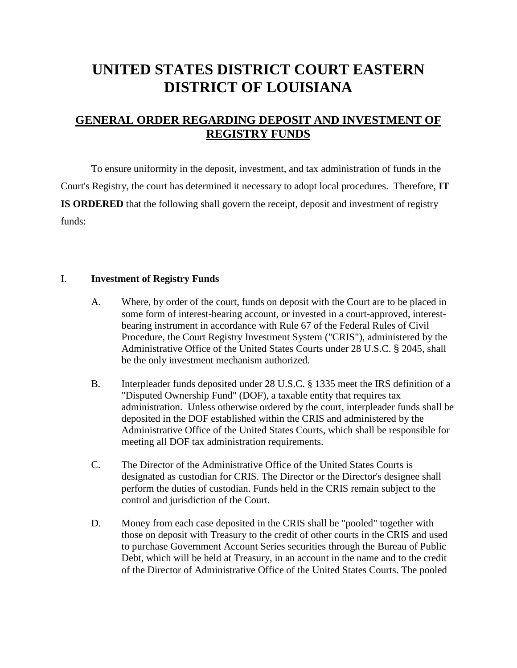# **UNITED STATES DISTRICT COURT EASTERN DISTRICT OF LOUISIANA**

## **GENERAL ORDER REGARDING DEPOSIT AND INVESTMENT OF REGISTRY FUNDS**

To ensure uniformity in the deposit, investment, and tax administration of funds in the Court's Registry, the court has determined it necessary to adopt local procedures. Therefore, **IT IS ORDERED** that the following shall govern the receipt, deposit and investment of registry funds:

#### I. **Investment of Registry Funds**

- A. Where, by order of the court, funds on deposit with the Court are to be placed in some form of interest-bearing account, or invested in a court-approved, interestbearing instrument in accordance with Rule 67 of the Federal Rules of Civil Procedure, the Court Registry Investment System ("CRIS"), administered by the Administrative Office of the United States Courts under 28 U.S.C. § 2045, shall be the only investment mechanism authorized.
- B. Interpleader funds deposited under 28 U.S.C. § 1335 meet the IRS definition of a "Disputed Ownership Fund" (DOF), a taxable entity that requires tax administration. Unless otherwise ordered by the court, interpleader funds shall be deposited in the DOF established within the CRIS and administered by the Administrative Office of the United States Courts, which shall be responsible for meeting all DOF tax administration requirements.
- C. The Director of the Administrative Office of the United States Courts is designated as custodian for CRIS. The Director or the Director's designee shall perform the duties of custodian. Funds held in the CRIS remain subject to the control and jurisdiction of the Court.
- D. Money from each case deposited in the CRIS shall be "pooled" together with those on deposit with Treasury to the credit of other courts in the CRIS and used to purchase Government Account Series securities through the Bureau of Public Debt, which will be held at Treasury, in an account in the name and to the credit of the Director of Administrative Office of the United States Courts. The pooled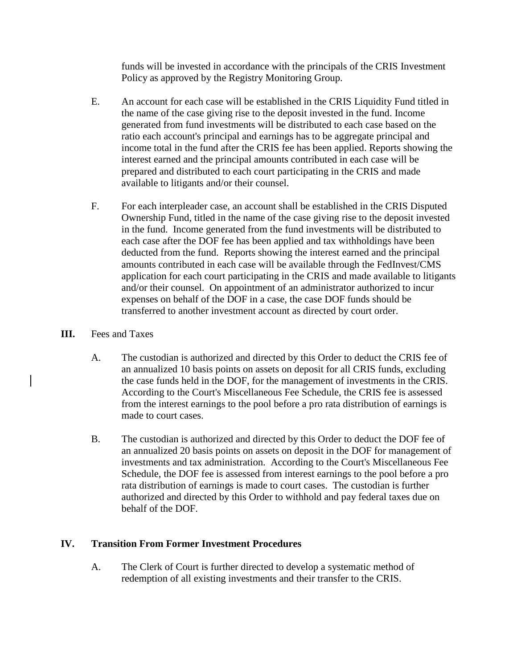funds will be invested in accordance with the principals of the CRIS Investment Policy as approved by the Registry Monitoring Group.

- E. An account for each case will be established in the CRIS Liquidity Fund titled in the name of the case giving rise to the deposit invested in the fund. Income generated from fund investments will be distributed to each case based on the ratio each account's principal and earnings has to be aggregate principal and income total in the fund after the CRIS fee has been applied. Reports showing the interest earned and the principal amounts contributed in each case will be prepared and distributed to each court participating in the CRIS and made available to litigants and/or their counsel.
- F. For each interpleader case, an account shall be established in the CRIS Disputed Ownership Fund, titled in the name of the case giving rise to the deposit invested in the fund. Income generated from the fund investments will be distributed to each case after the DOF fee has been applied and tax withholdings have been deducted from the fund. Reports showing the interest earned and the principal amounts contributed in each case will be available through the FedInvest/CMS application for each court participating in the CRIS and made available to litigants and/or their counsel. On appointment of an administrator authorized to incur expenses on behalf of the DOF in a case, the case DOF funds should be transferred to another investment account as directed by court order.

#### **III.** Fees and Taxes

- A. The custodian is authorized and directed by this Order to deduct the CRIS fee of an annualized 10 basis points on assets on deposit for all CRIS funds, excluding the case funds held in the DOF, for the management of investments in the CRIS. According to the Court's Miscellaneous Fee Schedule, the CRIS fee is assessed from the interest earnings to the pool before a pro rata distribution of earnings is made to court cases.
- B. The custodian is authorized and directed by this Order to deduct the DOF fee of an annualized 20 basis points on assets on deposit in the DOF for management of investments and tax administration. According to the Court's Miscellaneous Fee Schedule, the DOF fee is assessed from interest earnings to the pool before a pro rata distribution of earnings is made to court cases. The custodian is further authorized and directed by this Order to withhold and pay federal taxes due on behalf of the DOF.

### **IV. Transition From Former Investment Procedures**

A. The Clerk of Court is further directed to develop a systematic method of redemption of all existing investments and their transfer to the CRIS.